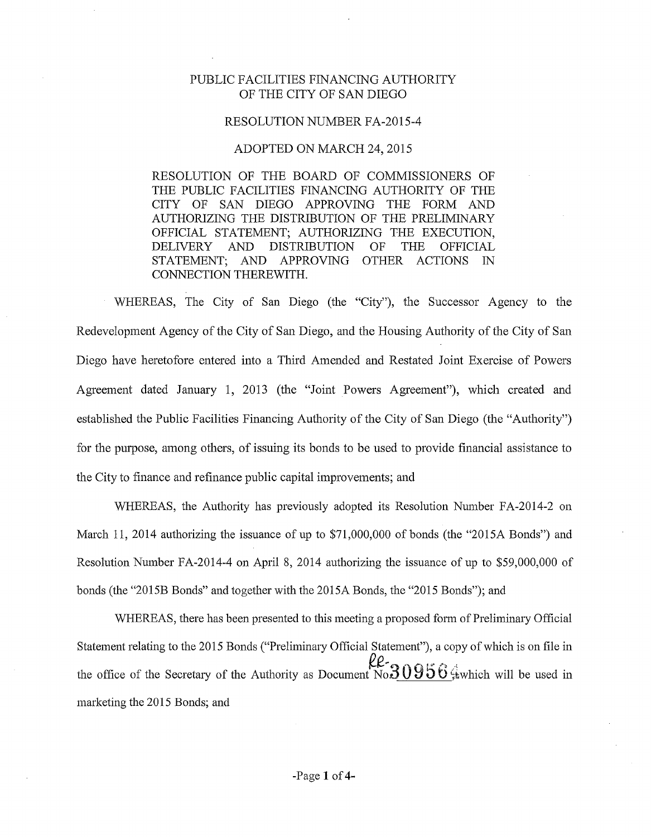## PUBLIC FACILITIES FINANCING AUTHORITY OF THE CITY OF SAN DIEGO

## RESOLUTION NUMBER FA-2015-4

## ADOPTED ON MARCH 24, 2015

RESOLUTION OF THE BOARD OF COMMISSIONERS OF THE PUBLIC FACILITIES FINANCING AUTHORITY OF THE CITY OF SAN DIEGO APPROVING THE FORM AND AUTHORIZING THE DISTRIBUTION OF THE PRELIMINARY OFFICIAL STATEMENT; AUTHORIZING THE EXECUTION, DELIVERY AND DISTRIBUTION OF THE OFFICIAL STATEMENT; AND APPROVING OTHER ACTIONS IN CONNECTION THEREWITH.

WHEREAS, The City of San Diego (the "City"), the Successor Agency to the Redevelopment Agency of the City of San Diego, and the Housing Authority of the City of San Diego have heretofore entered into a Third Amended and Restated Joint Exercise of Powers Agreement dated January 1, 2013 (the "Joint Powers Agreement"), which created and established the Public Facilities Financing Authority of the City of San Diego (the "Authority") for the purpose, among others, of issuing its bonds to be used to provide financial assistance to the City to finance and refinance public capital improvements; and

WHEREAS, the Authority has previously adopted its Resolution Number FA-2014-2 on March 11, 2014 authorizing the issuance of up to \$71,000,000 of bonds (the "2015A Bonds") and Resolution Number FA-2014-4 on April 8, 2014 authorizing the issuance of up to \$59,000,000 of bonds (the "2015B Bonds" and together with the 2015A Bonds, the "2015 Bonds"); and

WHEREAS, there has been presented to this meeting a proposed form of Preliminary Official Statement relating to the 2015 Bonds ("Preliminary Official Statement"), a copy of which is on file in the office of the Secretary of the Authority as Document No.  $20956$   $\frac{2}{3}$  which will be used in marketing the 2015 Bonds; and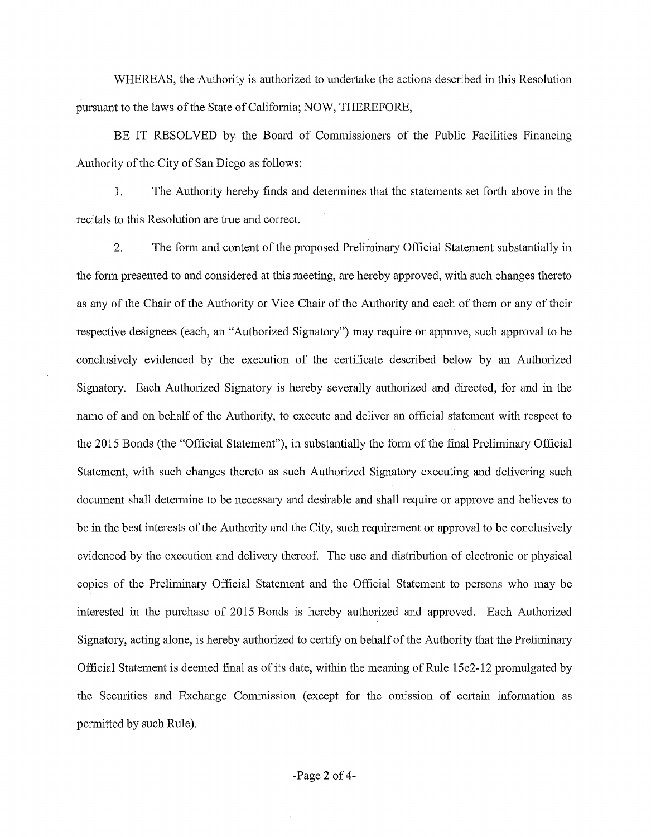WHEREAS, the Authority is authorized to undetiake the actions described in this Resolution pursuant to the laws of the State of California; NOW, THEREFORE,

BE IT RESOLVED by the Board of Commissioners of the Public Facilities Financing Authority of the City of San Diego as follows:

1. The Authority hereby finds and determines that the statements set forth above in the recitals to this Resolution are true and correct.

2. The fonn and content of the proposed Preliminary Official Statement substantially in the form presented to and considered at this meeting, are hereby approved, with such changes thereto as any of the Chair of the Authority or Vice Chair of the Authority and each of them or any of their respective designees (each, an "Authorized Signatory") may require or approve, such approval to be conclusively evidenced by the execution of the cetiificate described below by an Authorized Signatory. Each Authorized Signatory is hereby severally authorized and directed, for and in the name of and on behalf of the Authority, to execute and deliver an official statement with respect to the 2015 Bonds (the "Official Statement"), in substantially the form of the final Preliminary Official Statement, with such changes thereto as such Authorized Signatory executing and delivering such document shall detennine to be necessary and desirable and shall require or approve and believes to be in the best interests of the Authority and the City, such requirement or approval to be conclusively evidenced by the execution and delivery thereof. The use and distribution of electronic or physical copies of the Preliminary Official Statement and the Official Statement to persons who may be interested in the purchase of 2015 Bonds is hereby authorized and approved. Each Authorized Signatory, acting alone, is hereby authorized to certify on behalf of the Authority that the Preliminary Official Statement is deemed final as of its date, within the meaning of Rule 15c2-12 promulgated by the Securities and Exchange Commission (except for the omission of certain information as pennitted by such Rule).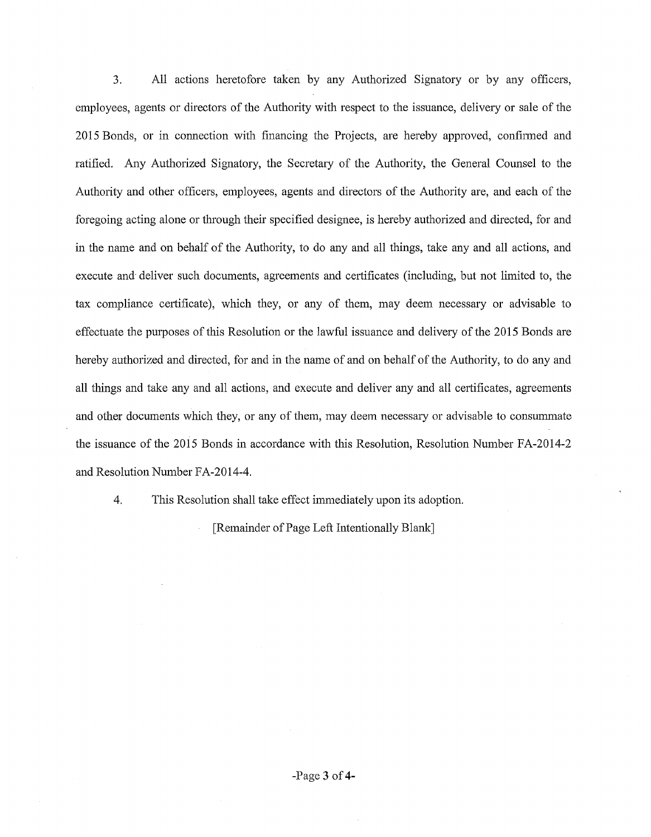3. All actions heretofore taken by any Authorized Signatory or by any officers, employees, agents or directors of the Authority with respect to the issuance, delivery or sale of the 2015 Bonds, or in connection with financing the Projects, are hereby approved, confinned and ratified. Any Authorized Signatory, the Secretary of the Authority, the General Counsel to the Authority and other officers, employees, agents and directors of the Authority are, and each of the foregoing acting alone or through their specified designee, is hereby authorized and directed, for and in the name and on behalf of the Authority, to do any and all things, take any and all actions, and execute and· deliver such documents, agreements and certificates (including, but not limited to, the tax compliance certificate), which they, or any of them, may deem necessary or advisable to effectuate the purposes of this Resolution or the lawful issuance and delivery of the 2015 Bonds are hereby authorized and directed, for and in the name of and on behalf of the Authority, to do any and all things and take any and all actions, and execute and deliver any and all certificates, agreements and other documents which they, or any of them, may deem necessary or advisable to consummate the issuance of the 2015 Bonds in accordance with this Resolution, Resolution Number FA-2014-2 and Resolution Number FA-2014-4.

4. This Resolution shall take effect immediately upon its adoption.

[Remainder of Page Left Intentionally Blank]